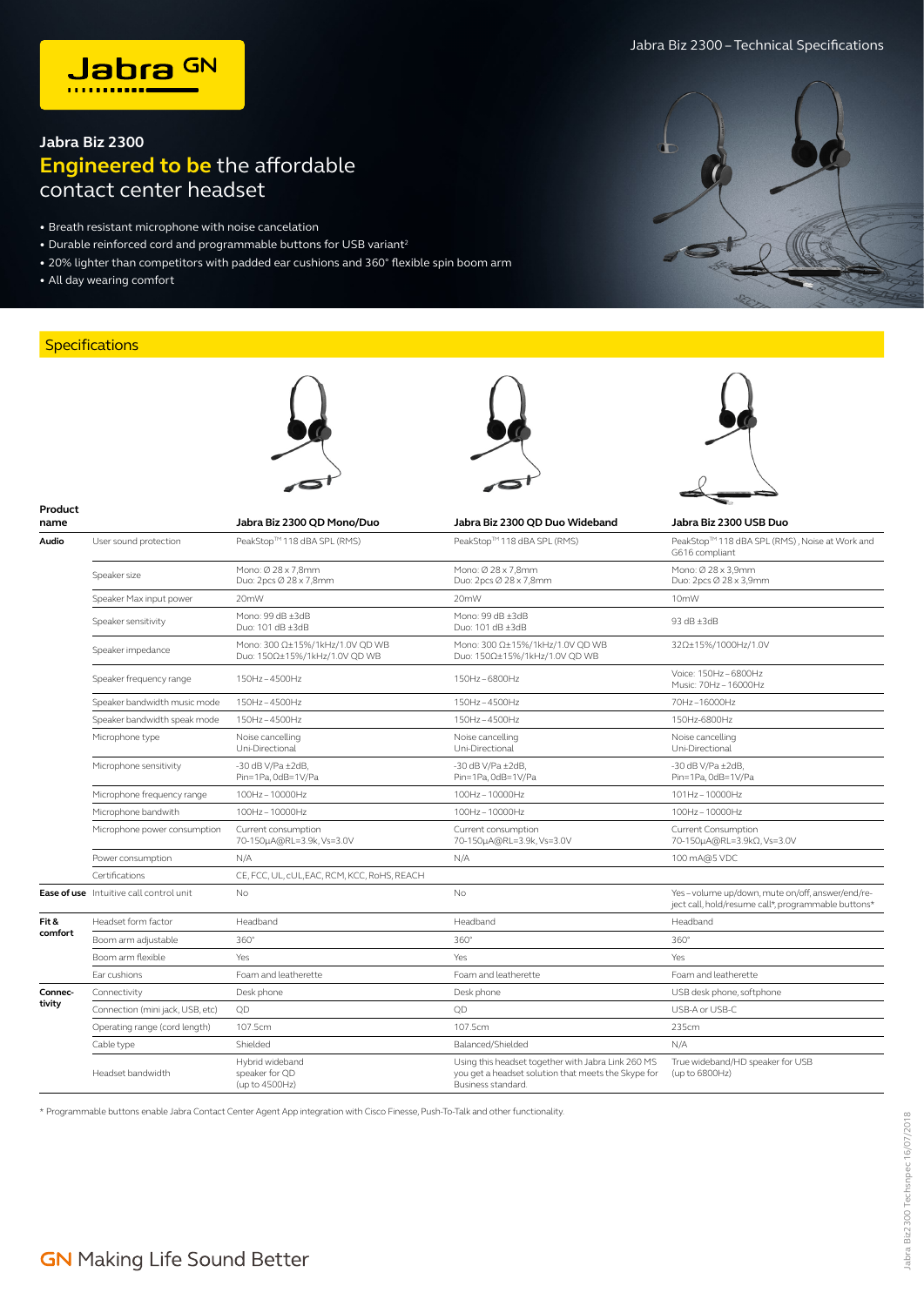## **Jabra Biz 2300 Engineered to be** the affordable contact center headset

- Breath resistant microphone with noise cancelation
- Durable reinforced cord and programmable buttons for USB variant<sup>2</sup>
- 20% lighter than competitors with padded ear cushions and 360° flexible spin boom arm
- All day wearing comfort

## **Specifications**



| Product<br>name |                                                | Jabra Biz 2300 QD Mono/Duo                                       | Jabra Biz 2300 QD Duo Wideband                                                                                                  | Jabra Biz 2300 USB Duo                                                                                 |
|-----------------|------------------------------------------------|------------------------------------------------------------------|---------------------------------------------------------------------------------------------------------------------------------|--------------------------------------------------------------------------------------------------------|
| Audio           | User sound protection                          | PeakStop™118 dBA SPL (RMS)                                       | PeakStop™118 dBA SPL (RMS)                                                                                                      | PeakStop™118 dBA SPL (RMS), Noise at Work and<br>G616 compliant                                        |
|                 | Speaker size                                   | Mono: Ø 28 x 7,8mm<br>Duo: 2pcs Ø 28 x 7,8mm                     | Mono: Ø 28 x 7,8mm<br>Duo: 2pcs Ø 28 x 7,8mm                                                                                    | Mono: Ø 28 x 3,9mm<br>Duo: 2pcs Ø 28 x 3,9mm                                                           |
|                 | Speaker Max input power                        | 20mW                                                             | 20mW                                                                                                                            | 10 <sub>m</sub> W                                                                                      |
|                 | Speaker sensitivity                            | Mono: 99 dB ±3dB<br>Duo: 101 dB ±3dB                             | Mono: 99 dB ±3dB<br>Duo: 101 dB ±3dB                                                                                            | 93 dB ±3dB                                                                                             |
|                 | Speaker impedance                              | Mono: 300 Ω±15%/1kHz/1.0V QD WB<br>Duo: 150Ω±15%/1kHz/1.0V QD WB | Mono: 300 Ω±15%/1kHz/1.0V QD WB<br>Duo: 150Ω±15%/1kHz/1.0V QD WB                                                                | 32Ω±15%/1000Hz/1.0V                                                                                    |
|                 | Speaker frequency range                        | 150Hz-4500Hz                                                     | 150Hz-6800Hz                                                                                                                    | Voice: 150Hz-6800Hz<br>Music: 70Hz-16000Hz                                                             |
|                 | Speaker bandwidth music mode                   | 150Hz-4500Hz                                                     | 150Hz-4500Hz                                                                                                                    | 70Hz-16000Hz                                                                                           |
|                 | Speaker bandwidth speak mode                   | 150Hz-4500Hz                                                     | 150Hz-4500Hz                                                                                                                    | 150Hz-6800Hz                                                                                           |
|                 | Microphone type                                | Noise cancelling<br>Uni-Directional                              | Noise cancelling<br>Uni-Directional                                                                                             | Noise cancelling<br>Uni-Directional                                                                    |
|                 | Microphone sensitivity                         | $-30$ dB V/Pa $\pm 2$ dB,<br>Pin=1Pa, 0dB=1V/Pa                  | $-30$ dB V/Pa $\pm 2$ dB,<br>Pin=1Pa, 0dB=1V/Pa                                                                                 | $-30$ dB V/Pa $\pm 2$ dB,<br>Pin=1Pa, 0dB=1V/Pa                                                        |
|                 | Microphone frequency range                     | 100Hz-10000Hz                                                    | 100Hz-10000Hz                                                                                                                   | 101Hz-10000Hz                                                                                          |
|                 | Microphone bandwith                            | 100Hz-10000Hz                                                    | 100Hz-10000Hz                                                                                                                   | 100Hz-10000Hz                                                                                          |
|                 | Microphone power consumption                   | Current consumption<br>70-150µA@RL=3.9k, Vs=3.0V                 | Current consumption<br>70-150µA@RL=3.9k, Vs=3.0V                                                                                | Current Consumption<br>70-150μA@RL=3.9kΩ, Vs=3.0V                                                      |
|                 | Power consumption                              | N/A                                                              | N/A                                                                                                                             | 100 mA@5 VDC                                                                                           |
|                 | Certifications                                 | CE, FCC, UL, cUL, EAC, RCM, KCC, RoHS, REACH                     |                                                                                                                                 |                                                                                                        |
|                 | <b>Ease of use</b> Intuitive call control unit | No.                                                              | <b>No</b>                                                                                                                       | Yes-volume up/down, mute on/off, answer/end/re-<br>ject call, hold/resume call*, programmable buttons* |
| Fit &           | Headset form factor                            | Headband                                                         | Headband                                                                                                                        | Headband                                                                                               |
| comfort         | Boom arm adjustable                            | $360^\circ$                                                      | 360°                                                                                                                            | $360^\circ$                                                                                            |
|                 | Boom arm flexible                              | Yes                                                              | Yes                                                                                                                             | Yes                                                                                                    |
|                 | Ear cushions                                   | Foam and leatherette                                             | Foam and leatherette                                                                                                            | Foam and leatherette                                                                                   |
| Connec-         | Connectivity                                   | Desk phone                                                       | Desk phone                                                                                                                      | USB desk phone, softphone                                                                              |
| tivity          | Connection (mini jack, USB, etc)               | OD                                                               | QD                                                                                                                              | USB-A or USB-C                                                                                         |
|                 | Operating range (cord length)                  | 107.5cm                                                          | 107.5cm                                                                                                                         | 235cm                                                                                                  |
|                 | Cable type                                     | Shielded                                                         | Balanced/Shielded                                                                                                               | N/A                                                                                                    |
|                 | Headset bandwidth                              | Hybrid wideband<br>speaker for OD<br>(up to 4500Hz)              | Using this headset together with Jabra Link 260 MS<br>you get a headset solution that meets the Skype for<br>Business standard. | True wideband/HD speaker for USB<br>(up to 6800Hz)                                                     |

\* Programmable buttons enable Jabra Contact Center Agent App integration with Cisco Finesse, Push-To-Talk and other functionality.